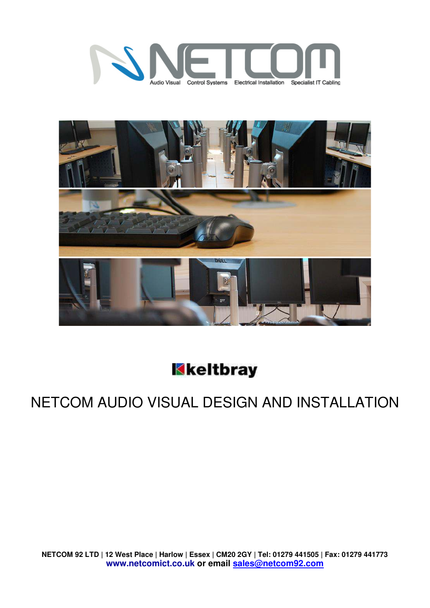



Kkeltbray

## NETCOM AUDIO VISUAL DESIGN AND INSTALLATION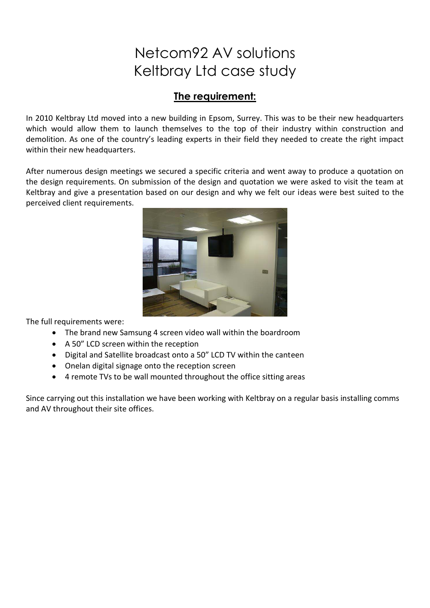## Netcom92 AV solutions Keltbray Ltd case study

## The requirement:

In 2010 Keltbray Ltd moved into a new building in Epsom, Surrey. This was to be their new headquarters which would allow them to launch themselves to the top of their industry within construction and demolition. As one of the country's leading experts in their field they needed to create the right impact within their new headquarters.

After numerous design meetings we secured a specific criteria and went away to produce a quotation on the design requirements. On submission of the design and quotation we were asked to visit the team at Keltbray and give a presentation based on our design and why we felt our ideas were best suited to the perceived client requirements.



The full requirements were:

- The brand new Samsung 4 screen video wall within the boardroom
- A 50" LCD screen within the reception
- Digital and Satellite broadcast onto a 50" LCD TV within the canteen
- Onelan digital signage onto the reception screen
- 4 remote TVs to be wall mounted throughout the office sitting areas

Since carrying out this installation we have been working with Keltbray on a regular basis installing comms and AV throughout their site offices.